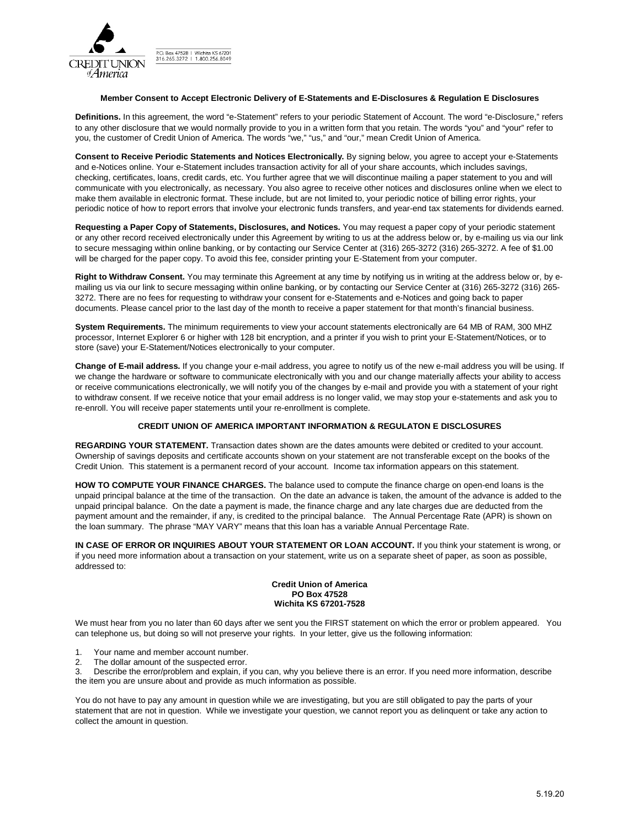

P.O. Box 47528 | Wichita KS 67201<br>316.265.3272 | 1.800.256.8049

## **Member Consent to Accept Electronic Delivery of E-Statements and E-Disclosures & Regulation E Disclosures**

**Definitions.** In this agreement, the word "e-Statement" refers to your periodic Statement of Account. The word "e-Disclosure," refers to any other disclosure that we would normally provide to you in a written form that you retain. The words "you" and "your" refer to you, the customer of Credit Union of America. The words "we," "us," and "our," mean Credit Union of America.

**Consent to Receive Periodic Statements and Notices Electronically.** By signing below, you agree to accept your e-Statements and e-Notices online. Your e-Statement includes transaction activity for all of your share accounts, which includes savings, checking, certificates, loans, credit cards, etc. You further agree that we will discontinue mailing a paper statement to you and will communicate with you electronically, as necessary. You also agree to receive other notices and disclosures online when we elect to make them available in electronic format. These include, but are not limited to, your periodic notice of billing error rights, your periodic notice of how to report errors that involve your electronic funds transfers, and year-end tax statements for dividends earned.

**Requesting a Paper Copy of Statements, Disclosures, and Notices.** You may request a paper copy of your periodic statement or any other record received electronically under this Agreement by writing to us at the address below or, by e-mailing us via our link to secure messaging within online banking, or by contacting our Service Center at (316) 265-3272 (316) 265-3272. A fee of \$1.00 will be charged for the paper copy. To avoid this fee, consider printing your E-Statement from your computer.

**Right to Withdraw Consent.** You may terminate this Agreement at any time by notifying us in writing at the address below or, by emailing us via our link to secure messaging within online banking, or by contacting our Service Center at (316) 265-3272 (316) 265- 3272. There are no fees for requesting to withdraw your consent for e-Statements and e-Notices and going back to paper documents. Please cancel prior to the last day of the month to receive a paper statement for that month's financial business.

**System Requirements.** The minimum requirements to view your account statements electronically are 64 MB of RAM, 300 MHZ processor, Internet Explorer 6 or higher with 128 bit encryption, and a printer if you wish to print your E-Statement/Notices, or to store (save) your E-Statement/Notices electronically to your computer.

**Change of E-mail address.** If you change your e-mail address, you agree to notify us of the new e-mail address you will be using. If we change the hardware or software to communicate electronically with you and our change materially affects your ability to access or receive communications electronically, we will notify you of the changes by e-mail and provide you with a statement of your right to withdraw consent. If we receive notice that your email address is no longer valid, we may stop your e-statements and ask you to re-enroll. You will receive paper statements until your re-enrollment is complete.

## **CREDIT UNION OF AMERICA IMPORTANT INFORMATION & REGULATON E DISCLOSURES**

**REGARDING YOUR STATEMENT.** Transaction dates shown are the dates amounts were debited or credited to your account. Ownership of savings deposits and certificate accounts shown on your statement are not transferable except on the books of the Credit Union. This statement is a permanent record of your account. Income tax information appears on this statement.

**HOW TO COMPUTE YOUR FINANCE CHARGES.** The balance used to compute the finance charge on open-end loans is the unpaid principal balance at the time of the transaction. On the date an advance is taken, the amount of the advance is added to the unpaid principal balance. On the date a payment is made, the finance charge and any late charges due are deducted from the payment amount and the remainder, if any, is credited to the principal balance. The Annual Percentage Rate (APR) is shown on the loan summary. The phrase "MAY VARY" means that this loan has a variable Annual Percentage Rate.

**IN CASE OF ERROR OR INQUIRIES ABOUT YOUR STATEMENT OR LOAN ACCOUNT.** If you think your statement is wrong, or if you need more information about a transaction on your statement, write us on a separate sheet of paper, as soon as possible, addressed to:

## **Credit Union of America PO Box 47528 Wichita KS 67201-7528**

We must hear from you no later than 60 days after we sent you the FIRST statement on which the error or problem appeared. You can telephone us, but doing so will not preserve your rights. In your letter, give us the following information:

- 1. Your name and member account number.
- 2. The dollar amount of the suspected error.

3. Describe the error/problem and explain, if you can, why you believe there is an error. If you need more information, describe the item you are unsure about and provide as much information as possible.

You do not have to pay any amount in question while we are investigating, but you are still obligated to pay the parts of your statement that are not in question. While we investigate your question, we cannot report you as delinquent or take any action to collect the amount in question.